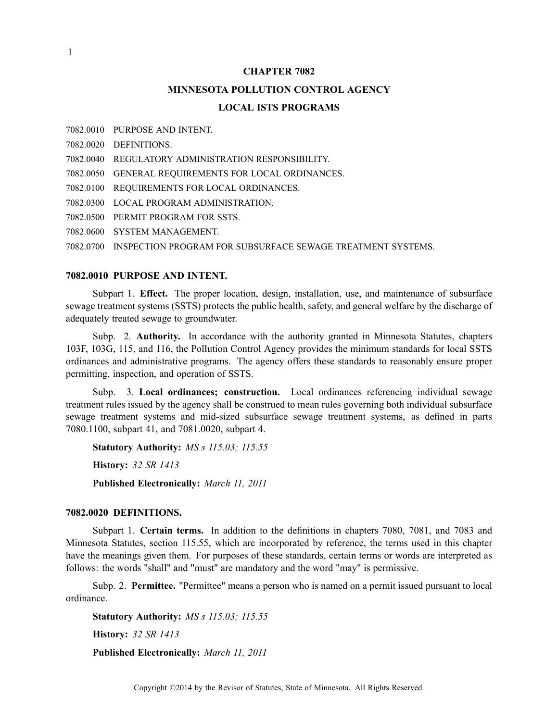#### **CHAPTER 7082**

# **MINNESOTA POLLUTION CONTROL AGENCY LOCAL ISTS PROGRAMS**

7082.0010 PURPOSE AND INTENT.

7082.0020 DEFINITIONS.

7082.0040 REGULATORY ADMINISTRATION RESPONSIBILITY.

7082.0050 GENERAL REQUIREMENTS FOR LOCAL ORDINANCES.

7082.0100 REQUIREMENTS FOR LOCAL ORDINANCES.

7082.0300 LOCAL PROGRAM ADMINISTRATION.

7082.0500 PERMIT PROGRAM FOR SSTS.

7082.0600 SYSTEM MANAGEMENT.

7082.0700 INSPECTION PROGRAM FOR SUBSURFACE SEWAGE TREATMENT SYSTEMS.

## **7082.0010 PURPOSE AND INTENT.**

Subpart 1. **Effect.** The proper location, design, installation, use, and maintenance of subsurface sewage treatment systems (SSTS) protects the public health, safety, and general welfare by the discharge of adequately treated sewage to groundwater.

Subp. 2. **Authority.** In accordance with the authority granted in Minnesota Statutes, chapters 103F, 103G, 115, and 116, the Pollution Control Agency provides the minimum standards for local SSTS ordinances and administrative programs. The agency offers these standards to reasonably ensure proper permitting, inspection, and operation of SSTS.

Subp. 3. **Local ordinances; construction.** Local ordinances referencing individual sewage treatment rules issued by the agency shall be construed to mean rules governing both individual subsurface sewage treatment systems and mid-sized subsurface sewage treatment systems, as defined in parts 7080.1100, subpart 41, and 7081.0020, subpart 4.

**Statutory Authority:** *MS <sup>s</sup> 115.03; 115.55* **History:** *32 SR 1413* **Published Electronically:** *March 11, 2011*

## **7082.0020 DEFINITIONS.**

Subpart 1. **Certain terms.** In addition to the definitions in chapters 7080, 7081, and 7083 and Minnesota Statutes, section 115.55, which are incorporated by reference, the terms used in this chapter have the meanings given them. For purposes of these standards, certain terms or words are interpreted as follows: the words "shall" and "must" are mandatory and the word "may" is permissive.

Subp. 2. **Permittee.** "Permittee" means <sup>a</sup> person who is named on <sup>a</sup> permit issued pursuan<sup>t</sup> to local ordinance.

**Statutory Authority:** *MS <sup>s</sup> 115.03; 115.55* **History:** *32 SR 1413* **Published Electronically:** *March 11, 2011*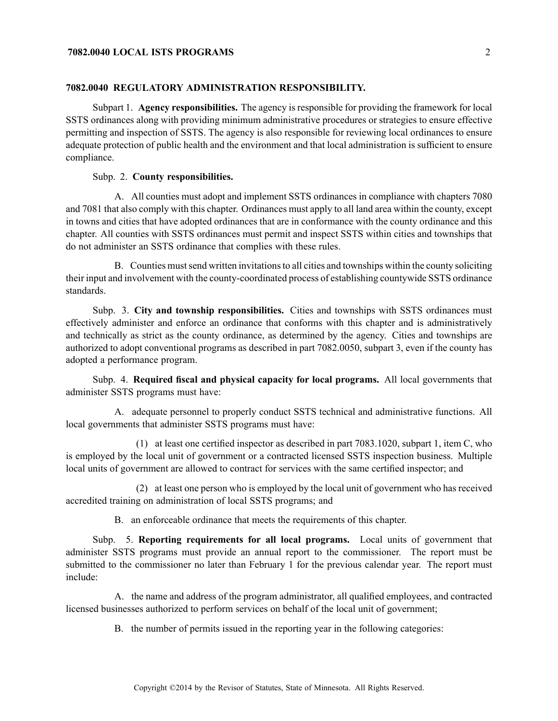## **7082.0040 LOCAL ISTS PROGRAMS** 2

#### **7082.0040 REGULATORY ADMINISTRATION RESPONSIBILITY.**

Subpart 1. **Agency responsibilities.** The agency is responsible for providing the framework for local SSTS ordinances along with providing minimum administrative procedures or strategies to ensure effective permitting and inspection of SSTS. The agency is also responsible for reviewing local ordinances to ensure adequate protection of public health and the environment and that local administration is sufficient to ensure compliance.

## Subp. 2. **County responsibilities.**

A. All counties must adopt and implement SSTS ordinances in compliance with chapters 7080 and 7081 that also comply with this chapter. Ordinances must apply to all land area within the county, excep<sup>t</sup> in towns and cities that have adopted ordinances that are in conformance with the county ordinance and this chapter. All counties with SSTS ordinances must permit and inspect SSTS within cities and townships that do not administer an SSTS ordinance that complies with these rules.

B. Counties must send written invitations to all cities and townships within the county soliciting their input and involvement with the county-coordinated process of establishing countywide SSTS ordinance standards.

Subp. 3. **City and township responsibilities.** Cities and townships with SSTS ordinances must effectively administer and enforce an ordinance that conforms with this chapter and is administratively and technically as strict as the county ordinance, as determined by the agency. Cities and townships are authorized to adopt conventional programs as described in par<sup>t</sup> 7082.0050, subpart 3, even if the county has adopted <sup>a</sup> performance program.

Subp. 4. **Required fiscal and physical capacity for local programs.** All local governments that administer SSTS programs must have:

A. adequate personnel to properly conduct SSTS technical and administrative functions. All local governments that administer SSTS programs must have:

(1) at least one certified inspector as described in par<sup>t</sup> 7083.1020, subpart 1, item C, who is employed by the local unit of governmen<sup>t</sup> or <sup>a</sup> contracted licensed SSTS inspection business. Multiple local units of governmen<sup>t</sup> are allowed to contract for services with the same certified inspector; and

(2) at least one person who is employed by the local unit of governmen<sup>t</sup> who has received accredited training on administration of local SSTS programs; and

B. an enforceable ordinance that meets the requirements of this chapter.

Subp. 5. **Reporting requirements for all local programs.** Local units of governmen<sup>t</sup> that administer SSTS programs must provide an annual repor<sup>t</sup> to the commissioner. The repor<sup>t</sup> must be submitted to the commissioner no later than February 1 for the previous calendar year. The repor<sup>t</sup> must include:

A. the name and address of the program administrator, all qualified employees, and contracted licensed businesses authorized to perform services on behalf of the local unit of government;

B. the number of permits issued in the reporting year in the following categories: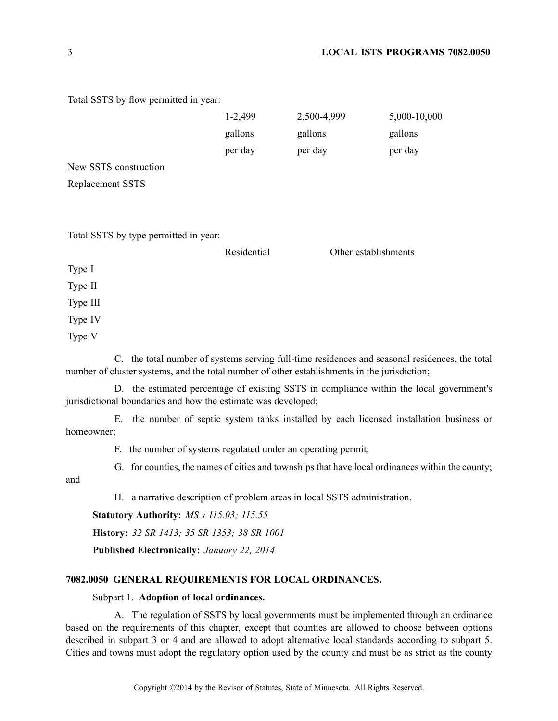## 3 **LOCAL ISTS PROGRAMS 7082.0050**

Total SSTS by flow permitted in year:

|                                       | 1-2,499<br>gallons<br>per day | 2,500-4,999<br>gallons<br>per day | 5,000-10,000<br>gallons<br>per day                                                             |  |
|---------------------------------------|-------------------------------|-----------------------------------|------------------------------------------------------------------------------------------------|--|
|                                       |                               |                                   |                                                                                                |  |
| New SSTS construction                 |                               |                                   |                                                                                                |  |
| Replacement SSTS                      |                               |                                   |                                                                                                |  |
|                                       |                               |                                   |                                                                                                |  |
| Total SSTS by type permitted in year: |                               |                                   |                                                                                                |  |
|                                       | Residential                   |                                   | Other establishments                                                                           |  |
| Type I                                |                               |                                   |                                                                                                |  |
| Type II                               |                               |                                   |                                                                                                |  |
| Type III                              |                               |                                   |                                                                                                |  |
| Type IV                               |                               |                                   |                                                                                                |  |
| Type V                                |                               |                                   |                                                                                                |  |
|                                       |                               |                                   | C. the total number of systems serving full-time residences and seasonal residences, the total |  |

number of cluster systems, and the total number of other establishments in the jurisdiction;

D. the estimated percentage of existing SSTS in compliance within the local government's jurisdictional boundaries and how the estimate was developed;

E. the number of septic system tanks installed by each licensed installation business or homeowner;

F. the number of systems regulated under an operating permit;

G. for counties, the names of cities and townships that have local ordinances within the county;

and

H. <sup>a</sup> narrative description of problem areas in local SSTS administration.

**Statutory Authority:** *MS <sup>s</sup> 115.03; 115.55*

**History:** *32 SR 1413; 35 SR 1353; 38 SR 1001*

**Published Electronically:** *January 22, 2014*

#### **7082.0050 GENERAL REQUIREMENTS FOR LOCAL ORDINANCES.**

#### Subpart 1. **Adoption of local ordinances.**

A. The regulation of SSTS by local governments must be implemented through an ordinance based on the requirements of this chapter, excep<sup>t</sup> that counties are allowed to choose between options described in subpart 3 or 4 and are allowed to adopt alternative local standards according to subpart 5. Cities and towns must adopt the regulatory option used by the county and must be as strict as the county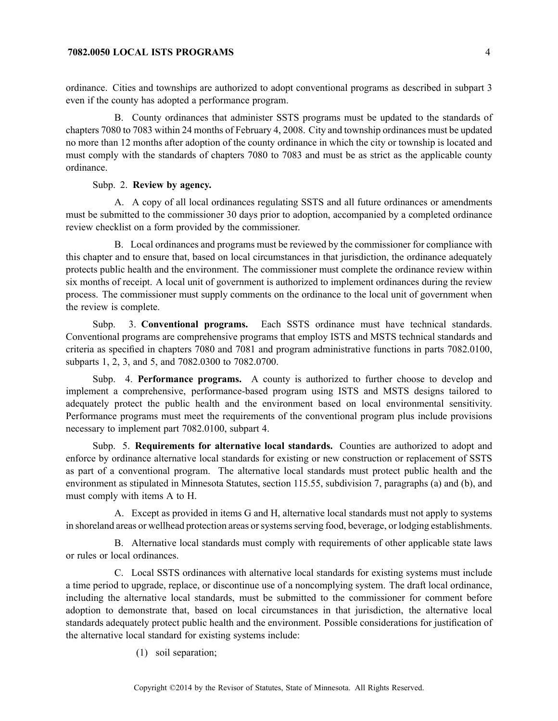#### **7082.0050 LOCAL ISTS PROGRAMS** 4

ordinance. Cities and townships are authorized to adopt conventional programs as described in subpart 3 even if the county has adopted <sup>a</sup> performance program.

B. County ordinances that administer SSTS programs must be updated to the standards of chapters 7080 to 7083 within 24 months of February 4, 2008. City and township ordinances must be updated no more than 12 months after adoption of the county ordinance in which the city or township is located and must comply with the standards of chapters 7080 to 7083 and must be as strict as the applicable county ordinance.

## Subp. 2. **Review by agency.**

A. A copy of all local ordinances regulating SSTS and all future ordinances or amendments must be submitted to the commissioner 30 days prior to adoption, accompanied by <sup>a</sup> completed ordinance review checklist on <sup>a</sup> form provided by the commissioner.

B. Local ordinances and programs must be reviewed by the commissioner for compliance with this chapter and to ensure that, based on local circumstances in that jurisdiction, the ordinance adequately protects public health and the environment. The commissioner must complete the ordinance review within six months of receipt. A local unit of governmen<sup>t</sup> is authorized to implement ordinances during the review process. The commissioner must supply comments on the ordinance to the local unit of governmen<sup>t</sup> when the review is complete.

Subp. 3. **Conventional programs.** Each SSTS ordinance must have technical standards. Conventional programs are comprehensive programs that employ ISTS and MSTS technical standards and criteria as specified in chapters 7080 and 7081 and program administrative functions in parts 7082.0100, subparts 1, 2, 3, and 5, and 7082.0300 to 7082.0700.

Subp. 4. **Performance programs.** A county is authorized to further choose to develop and implement <sup>a</sup> comprehensive, performance-based program using ISTS and MSTS designs tailored to adequately protect the public health and the environment based on local environmental sensitivity. Performance programs must meet the requirements of the conventional program plus include provisions necessary to implement par<sup>t</sup> 7082.0100, subpart 4.

Subp. 5. **Requirements for alternative local standards.** Counties are authorized to adopt and enforce by ordinance alternative local standards for existing or new construction or replacement of SSTS as par<sup>t</sup> of <sup>a</sup> conventional program. The alternative local standards must protect public health and the environment as stipulated in Minnesota Statutes, section 115.55, subdivision 7, paragraphs (a) and (b), and must comply with items A to H.

A. Except as provided in items G and H, alternative local standards must not apply to systems in shoreland areas or wellhead protection areas or systems serving food, beverage, or lodging establishments.

B. Alternative local standards must comply with requirements of other applicable state laws or rules or local ordinances.

C. Local SSTS ordinances with alternative local standards for existing systems must include <sup>a</sup> time period to upgrade, replace, or discontinue use of <sup>a</sup> noncomplying system. The draft local ordinance, including the alternative local standards, must be submitted to the commissioner for comment before adoption to demonstrate that, based on local circumstances in that jurisdiction, the alternative local standards adequately protect public health and the environment. Possible considerations for justification of the alternative local standard for existing systems include:

(1) soil separation;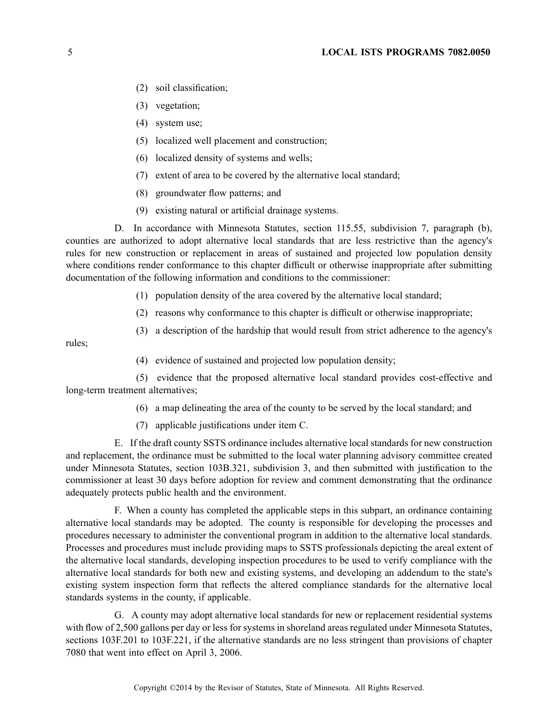- (2) soil classification;
- (3) vegetation;
- (4) system use;
- (5) localized well placement and construction;
- (6) localized density of systems and wells;
- (7) extent of area to be covered by the alternative local standard;
- (8) groundwater flow patterns; and
- (9) existing natural or artificial drainage systems.

D. In accordance with Minnesota Statutes, section 115.55, subdivision 7, paragraph (b), counties are authorized to adopt alternative local standards that are less restrictive than the agency's rules for new construction or replacement in areas of sustained and projected low population density where conditions render conformance to this chapter difficult or otherwise inappropriate after submitting documentation of the following information and conditions to the commissioner:

- (1) population density of the area covered by the alternative local standard;
- (2) reasons why conformance to this chapter is difficult or otherwise inappropriate;
- (3) <sup>a</sup> description of the hardship that would result from strict adherence to the agency's

rules;

(4) evidence of sustained and projected low population density;

(5) evidence that the proposed alternative local standard provides cost-effective and long-term treatment alternatives;

- (6) <sup>a</sup> map delineating the area of the county to be served by the local standard; and
- (7) applicable justifications under item C.

E. If the draft county SSTS ordinance includes alternative local standards for new construction and replacement, the ordinance must be submitted to the local water planning advisory committee created under Minnesota Statutes, section 103B.321, subdivision 3, and then submitted with justification to the commissioner at least 30 days before adoption for review and comment demonstrating that the ordinance adequately protects public health and the environment.

F. When <sup>a</sup> county has completed the applicable steps in this subpart, an ordinance containing alternative local standards may be adopted. The county is responsible for developing the processes and procedures necessary to administer the conventional program in addition to the alternative local standards. Processes and procedures must include providing maps to SSTS professionals depicting the areal extent of the alternative local standards, developing inspection procedures to be used to verify compliance with the alternative local standards for both new and existing systems, and developing an addendum to the state's existing system inspection form that reflects the altered compliance standards for the alternative local standards systems in the county, if applicable.

G. A county may adopt alternative local standards for new or replacement residential systems with flow of 2,500 gallons per day or less for systems in shoreland areas regulated under Minnesota Statutes, sections 103F.201 to 103F.221, if the alternative standards are no less stringent than provisions of chapter 7080 that went into effect on April 3, 2006.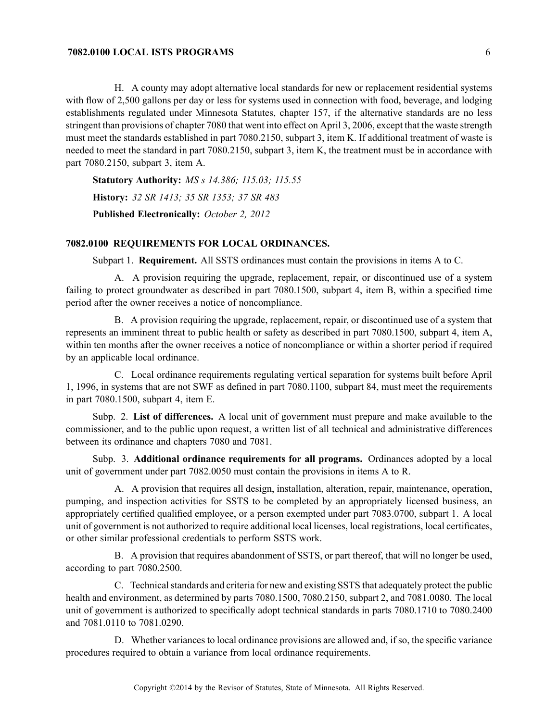## **7082.0100 LOCAL ISTS PROGRAMS** 6

H. A county may adopt alternative local standards for new or replacement residential systems with flow of 2,500 gallons per day or less for systems used in connection with food, beverage, and lodging establishments regulated under Minnesota Statutes, chapter 157, if the alternative standards are no less stringent than provisions of chapter 7080 that went into effect on April 3, 2006, excep<sup>t</sup> that the waste strength must meet the standards established in par<sup>t</sup> 7080.2150, subpart 3, item K. If additional treatment of waste is needed to meet the standard in par<sup>t</sup> 7080.2150, subpart 3, item K, the treatment must be in accordance with par<sup>t</sup> 7080.2150, subpart 3, item A.

**Statutory Authority:** *MS <sup>s</sup> 14.386; 115.03; 115.55* **History:** *32 SR 1413; 35 SR 1353; 37 SR 483* **Published Electronically:** *October 2, 2012*

#### **7082.0100 REQUIREMENTS FOR LOCAL ORDINANCES.**

Subpart 1. **Requirement.** All SSTS ordinances must contain the provisions in items A to C.

A. A provision requiring the upgrade, replacement, repair, or discontinued use of <sup>a</sup> system failing to protect groundwater as described in par<sup>t</sup> 7080.1500, subpart 4, item B, within <sup>a</sup> specified time period after the owner receives <sup>a</sup> notice of noncompliance.

B. A provision requiring the upgrade, replacement, repair, or discontinued use of <sup>a</sup> system that represents an imminent threat to public health or safety as described in par<sup>t</sup> 7080.1500, subpart 4, item A, within ten months after the owner receives <sup>a</sup> notice of noncompliance or within <sup>a</sup> shorter period if required by an applicable local ordinance.

C. Local ordinance requirements regulating vertical separation for systems built before April 1, 1996, in systems that are not SWF as defined in par<sup>t</sup> 7080.1100, subpart 84, must meet the requirements in par<sup>t</sup> 7080.1500, subpart 4, item E.

Subp. 2. **List of differences.** A local unit of governmen<sup>t</sup> must prepare and make available to the commissioner, and to the public upon request, <sup>a</sup> written list of all technical and administrative differences between its ordinance and chapters 7080 and 7081.

Subp. 3. **Additional ordinance requirements for all programs.** Ordinances adopted by <sup>a</sup> local unit of governmen<sup>t</sup> under par<sup>t</sup> 7082.0050 must contain the provisions in items A to R.

A. A provision that requires all design, installation, alteration, repair, maintenance, operation, pumping, and inspection activities for SSTS to be completed by an appropriately licensed business, an appropriately certified qualified employee, or <sup>a</sup> person exempted under par<sup>t</sup> 7083.0700, subpart 1. A local unit of governmen<sup>t</sup> is not authorized to require additional local licenses, local registrations, local certificates, or other similar professional credentials to perform SSTS work.

B. A provision that requires abandonment of SSTS, or par<sup>t</sup> thereof, that will no longer be used, according to par<sup>t</sup> 7080.2500.

C. Technical standards and criteria for new and existing SSTS that adequately protect the public health and environment, as determined by parts 7080.1500, 7080.2150, subpart 2, and 7081.0080. The local unit of governmen<sup>t</sup> is authorized to specifically adopt technical standards in parts 7080.1710 to 7080.2400 and 7081.0110 to 7081.0290.

D. Whether variances to local ordinance provisions are allowed and, if so, the specific variance procedures required to obtain <sup>a</sup> variance from local ordinance requirements.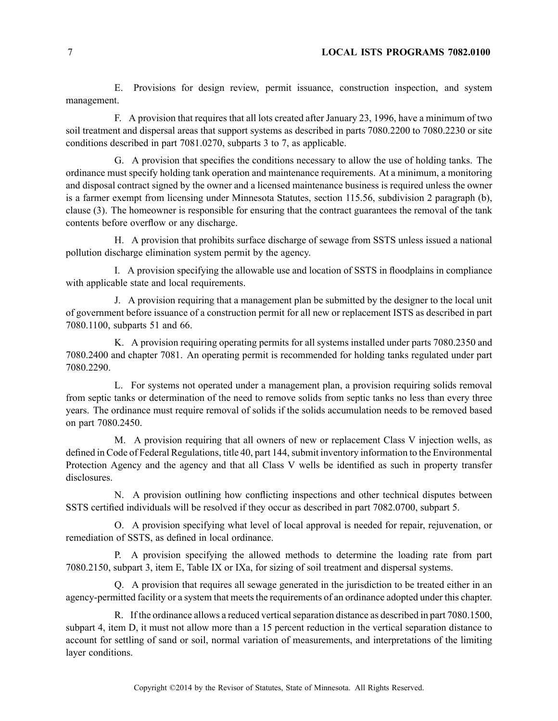E. Provisions for design review, permit issuance, construction inspection, and system management.

F. A provision that requires that all lots created after January 23, 1996, have <sup>a</sup> minimum of two soil treatment and dispersal areas that suppor<sup>t</sup> systems as described in parts 7080.2200 to 7080.2230 or site conditions described in par<sup>t</sup> 7081.0270, subparts 3 to 7, as applicable.

G. A provision that specifies the conditions necessary to allow the use of holding tanks. The ordinance must specify holding tank operation and maintenance requirements. At <sup>a</sup> minimum, <sup>a</sup> monitoring and disposal contract signed by the owner and <sup>a</sup> licensed maintenance business is required unless the owner is <sup>a</sup> farmer exemp<sup>t</sup> from licensing under Minnesota Statutes, section 115.56, subdivision 2 paragraph (b), clause (3). The homeowner is responsible for ensuring that the contract guarantees the removal of the tank contents before overflow or any discharge.

H. A provision that prohibits surface discharge of sewage from SSTS unless issued <sup>a</sup> national pollution discharge elimination system permit by the agency.

I. A provision specifying the allowable use and location of SSTS in floodplains in compliance with applicable state and local requirements.

J. A provision requiring that <sup>a</sup> managemen<sup>t</sup> plan be submitted by the designer to the local unit of governmen<sup>t</sup> before issuance of <sup>a</sup> construction permit for all new or replacement ISTS as described in par<sup>t</sup> 7080.1100, subparts 51 and 66.

K. A provision requiring operating permits for all systems installed under parts 7080.2350 and 7080.2400 and chapter 7081. An operating permit is recommended for holding tanks regulated under par<sup>t</sup> 7080.2290.

L. For systems not operated under <sup>a</sup> managemen<sup>t</sup> plan, <sup>a</sup> provision requiring solids removal from septic tanks or determination of the need to remove solids from septic tanks no less than every three years. The ordinance must require removal of solids if the solids accumulation needs to be removed based on par<sup>t</sup> 7080.2450.

M. A provision requiring that all owners of new or replacement Class V injection wells, as defined in Code of Federal Regulations, title 40, part 144, submit inventory information to the Environmental Protection Agency and the agency and that all Class V wells be identified as such in property transfer disclosures.

N. A provision outlining how conflicting inspections and other technical disputes between SSTS certified individuals will be resolved if they occur as described in par<sup>t</sup> 7082.0700, subpart 5.

O. A provision specifying what level of local approval is needed for repair, rejuvenation, or remediation of SSTS, as defined in local ordinance.

P. A provision specifying the allowed methods to determine the loading rate from par<sup>t</sup> 7080.2150, subpart 3, item E, Table IX or IXa, for sizing of soil treatment and dispersal systems.

Q. A provision that requires all sewage generated in the jurisdiction to be treated either in an agency-permitted facility or a system that meets the requirements of an ordinance adopted under this chapter.

R. If the ordinance allows a reduced vertical separation distance as described in part 7080.1500, subpart 4, item D, it must not allow more than <sup>a</sup> 15 percen<sup>t</sup> reduction in the vertical separation distance to account for settling of sand or soil, normal variation of measurements, and interpretations of the limiting layer conditions.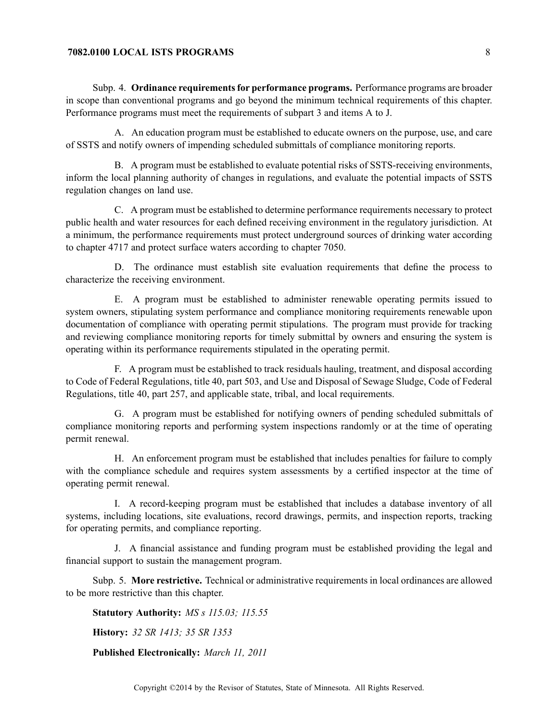# **7082.0100 LOCAL ISTS PROGRAMS** 8

Subp. 4. **Ordinance requirementsfor performance programs.** Performance programs are broader in scope than conventional programs and go beyond the minimum technical requirements of this chapter. Performance programs must meet the requirements of subpart 3 and items A to J.

A. An education program must be established to educate owners on the purpose, use, and care of SSTS and notify owners of impending scheduled submittals of compliance monitoring reports.

B. A program must be established to evaluate potential risks of SSTS-receiving environments, inform the local planning authority of changes in regulations, and evaluate the potential impacts of SSTS regulation changes on land use.

C. A program must be established to determine performance requirements necessary to protect public health and water resources for each defined receiving environment in the regulatory jurisdiction. At <sup>a</sup> minimum, the performance requirements must protect underground sources of drinking water according to chapter 4717 and protect surface waters according to chapter 7050.

D. The ordinance must establish site evaluation requirements that define the process to characterize the receiving environment.

E. A program must be established to administer renewable operating permits issued to system owners, stipulating system performance and compliance monitoring requirements renewable upon documentation of compliance with operating permit stipulations. The program must provide for tracking and reviewing compliance monitoring reports for timely submittal by owners and ensuring the system is operating within its performance requirements stipulated in the operating permit.

F. A program must be established to track residuals hauling, treatment, and disposal according to Code of Federal Regulations, title 40, par<sup>t</sup> 503, and Use and Disposal of Sewage Sludge, Code of Federal Regulations, title 40, par<sup>t</sup> 257, and applicable state, tribal, and local requirements.

G. A program must be established for notifying owners of pending scheduled submittals of compliance monitoring reports and performing system inspections randomly or at the time of operating permit renewal.

H. An enforcement program must be established that includes penalties for failure to comply with the compliance schedule and requires system assessments by <sup>a</sup> certified inspector at the time of operating permit renewal.

I. A record-keeping program must be established that includes <sup>a</sup> database inventory of all systems, including locations, site evaluations, record drawings, permits, and inspection reports, tracking for operating permits, and compliance reporting.

J. A financial assistance and funding program must be established providing the legal and financial suppor<sup>t</sup> to sustain the managemen<sup>t</sup> program.

Subp. 5. **More restrictive.** Technical or administrative requirements in local ordinances are allowed to be more restrictive than this chapter.

**Statutory Authority:** *MS <sup>s</sup> 115.03; 115.55*

**History:** *32 SR 1413; 35 SR 1353*

**Published Electronically:** *March 11, 2011*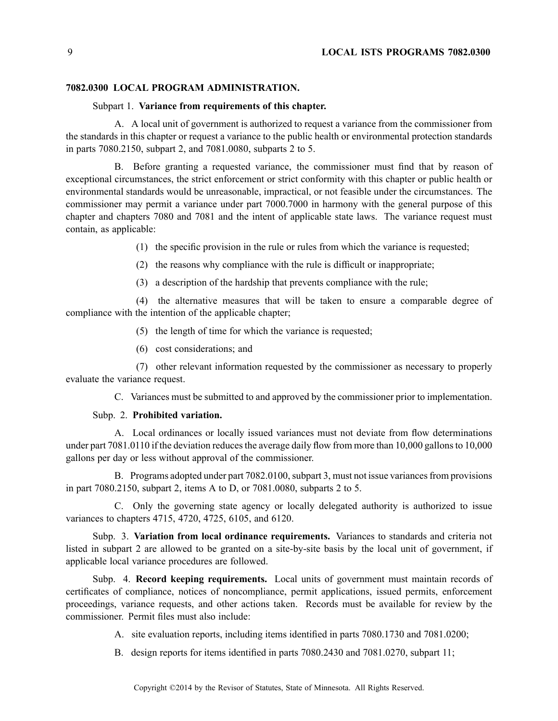#### **7082.0300 LOCAL PROGRAM ADMINISTRATION.**

#### Subpart 1. **Variance from requirements of this chapter.**

A. A local unit of governmen<sup>t</sup> is authorized to reques<sup>t</sup> <sup>a</sup> variance from the commissioner from the standards in this chapter or reques<sup>t</sup> <sup>a</sup> variance to the public health or environmental protection standards in parts 7080.2150, subpart 2, and 7081.0080, subparts 2 to 5.

B. Before granting <sup>a</sup> requested variance, the commissioner must find that by reason of exceptional circumstances, the strict enforcement or strict conformity with this chapter or public health or environmental standards would be unreasonable, impractical, or not feasible under the circumstances. The commissioner may permit <sup>a</sup> variance under par<sup>t</sup> 7000.7000 in harmony with the general purpose of this chapter and chapters 7080 and 7081 and the intent of applicable state laws. The variance reques<sup>t</sup> must contain, as applicable:

(1) the specific provision in the rule or rules from which the variance is requested;

- (2) the reasons why compliance with the rule is difficult or inappropriate;
- (3) <sup>a</sup> description of the hardship that prevents compliance with the rule;

(4) the alternative measures that will be taken to ensure <sup>a</sup> comparable degree of compliance with the intention of the applicable chapter;

- (5) the length of time for which the variance is requested;
- (6) cost considerations; and

(7) other relevant information requested by the commissioner as necessary to properly evaluate the variance request.

C. Variances must be submitted to and approved by the commissioner prior to implementation.

#### Subp. 2. **Prohibited variation.**

A. Local ordinances or locally issued variances must not deviate from flow determinations under part 7081.0110 if the deviation reduces the average daily flow from more than 10,000 gallons to 10,000 gallons per day or less without approval of the commissioner.

B. Programs adopted under part 7082.0100, subpart 3, must not issue variances from provisions in par<sup>t</sup> 7080.2150, subpart 2, items A to D, or 7081.0080, subparts 2 to 5.

C. Only the governing state agency or locally delegated authority is authorized to issue variances to chapters 4715, 4720, 4725, 6105, and 6120.

Subp. 3. **Variation from local ordinance requirements.** Variances to standards and criteria not listed in subpart 2 are allowed to be granted on <sup>a</sup> site-by-site basis by the local unit of government, if applicable local variance procedures are followed.

Subp. 4. **Record keeping requirements.** Local units of governmen<sup>t</sup> must maintain records of certificates of compliance, notices of noncompliance, permit applications, issued permits, enforcement proceedings, variance requests, and other actions taken. Records must be available for review by the commissioner. Permit files must also include:

A. site evaluation reports, including items identified in parts 7080.1730 and 7081.0200;

B. design reports for items identified in parts 7080.2430 and 7081.0270, subpart 11;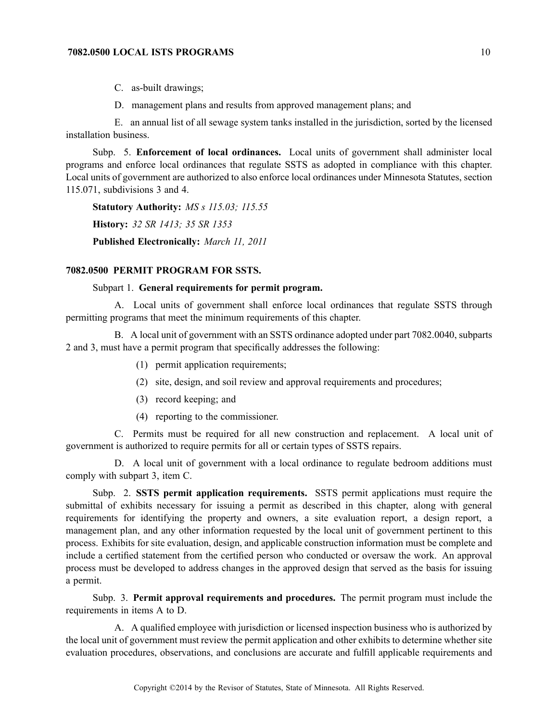# **7082.0500 LOCAL ISTS PROGRAMS** 10

C. as-built drawings;

D. managemen<sup>t</sup> plans and results from approved managemen<sup>t</sup> plans; and

E. an annual list of all sewage system tanks installed in the jurisdiction, sorted by the licensed installation business.

Subp. 5. **Enforcement of local ordinances.** Local units of governmen<sup>t</sup> shall administer local programs and enforce local ordinances that regulate SSTS as adopted in compliance with this chapter. Local units of governmen<sup>t</sup> are authorized to also enforce local ordinances under Minnesota Statutes, section 115.071, subdivisions 3 and 4.

**Statutory Authority:** *MS <sup>s</sup> 115.03; 115.55* **History:** *32 SR 1413; 35 SR 1353* **Published Electronically:** *March 11, 2011*

## **7082.0500 PERMIT PROGRAM FOR SSTS.**

#### Subpart 1. **General requirements for permit program.**

A. Local units of governmen<sup>t</sup> shall enforce local ordinances that regulate SSTS through permitting programs that meet the minimum requirements of this chapter.

B. A local unit of governmen<sup>t</sup> with an SSTS ordinance adopted under par<sup>t</sup> 7082.0040, subparts 2 and 3, must have <sup>a</sup> permit program that specifically addresses the following:

- (1) permit application requirements;
- (2) site, design, and soil review and approval requirements and procedures;
- (3) record keeping; and
- (4) reporting to the commissioner.

C. Permits must be required for all new construction and replacement. A local unit of governmen<sup>t</sup> is authorized to require permits for all or certain types of SSTS repairs.

D. A local unit of governmen<sup>t</sup> with <sup>a</sup> local ordinance to regulate bedroom additions must comply with subpart 3, item C.

Subp. 2. **SSTS permit application requirements.** SSTS permit applications must require the submittal of exhibits necessary for issuing <sup>a</sup> permit as described in this chapter, along with general requirements for identifying the property and owners, <sup>a</sup> site evaluation report, <sup>a</sup> design report, <sup>a</sup> managemen<sup>t</sup> plan, and any other information requested by the local unit of governmen<sup>t</sup> pertinent to this process. Exhibits for site evaluation, design, and applicable construction information must be complete and include <sup>a</sup> certified statement from the certified person who conducted or oversaw the work. An approval process must be developed to address changes in the approved design that served as the basis for issuing <sup>a</sup> permit.

Subp. 3. **Permit approval requirements and procedures.** The permit program must include the requirements in items A to D.

A. A qualified employee with jurisdiction or licensed inspection business who is authorized by the local unit of governmen<sup>t</sup> must review the permit application and other exhibits to determine whether site evaluation procedures, observations, and conclusions are accurate and fulfill applicable requirements and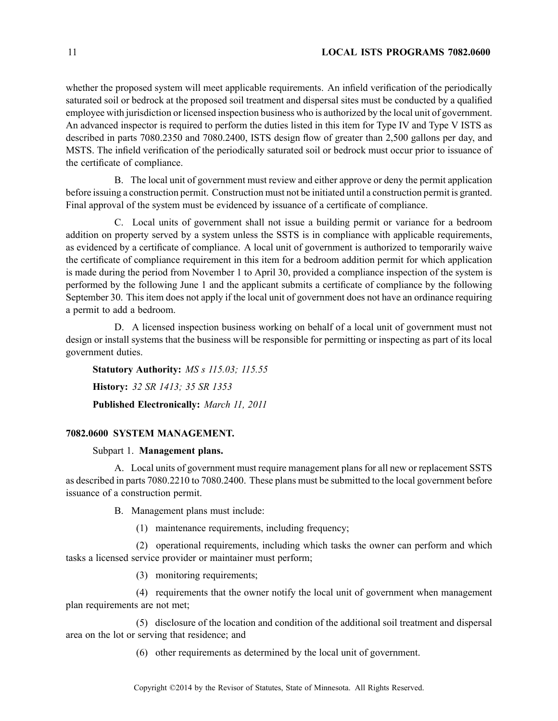## 11 **LOCAL ISTS PROGRAMS 7082.0600**

whether the proposed system will meet applicable requirements. An infield verification of the periodically saturated soil or bedrock at the proposed soil treatment and dispersal sites must be conducted by <sup>a</sup> qualified employee with jurisdiction or licensed inspection business who is authorized by the local unit of government. An advanced inspector is required to perform the duties listed in this item for Type IV and Type V ISTS as described in parts 7080.2350 and 7080.2400, ISTS design flow of greater than 2,500 gallons per day, and MSTS. The infield verification of the periodically saturated soil or bedrock must occur prior to issuance of the certificate of compliance.

B. The local unit of governmen<sup>t</sup> must review and either approve or deny the permit application before issuing <sup>a</sup> construction permit. Construction must not be initiated until <sup>a</sup> construction permit is granted. Final approval of the system must be evidenced by issuance of <sup>a</sup> certificate of compliance.

C. Local units of governmen<sup>t</sup> shall not issue <sup>a</sup> building permit or variance for <sup>a</sup> bedroom addition on property served by <sup>a</sup> system unless the SSTS is in compliance with applicable requirements, as evidenced by <sup>a</sup> certificate of compliance. A local unit of governmen<sup>t</sup> is authorized to temporarily waive the certificate of compliance requirement in this item for <sup>a</sup> bedroom addition permit for which application is made during the period from November 1 to April 30, provided <sup>a</sup> compliance inspection of the system is performed by the following June 1 and the applicant submits <sup>a</sup> certificate of compliance by the following September 30. This item does not apply if the local unit of governmen<sup>t</sup> does not have an ordinance requiring <sup>a</sup> permit to add <sup>a</sup> bedroom.

D. A licensed inspection business working on behalf of <sup>a</sup> local unit of governmen<sup>t</sup> must not design or install systems that the business will be responsible for permitting or inspecting as par<sup>t</sup> of its local governmen<sup>t</sup> duties.

**Statutory Authority:** *MS <sup>s</sup> 115.03; 115.55* **History:** *32 SR 1413; 35 SR 1353* **Published Electronically:** *March 11, 2011*

## **7082.0600 SYSTEM MANAGEMENT.**

## Subpart 1. **Management plans.**

A. Local units of governmen<sup>t</sup> must require managemen<sup>t</sup> plansfor all new or replacement SSTS as described in parts 7080.2210 to 7080.2400. These plans must be submitted to the local governmen<sup>t</sup> before issuance of <sup>a</sup> construction permit.

B. Management plans must include:

(1) maintenance requirements, including frequency;

(2) operational requirements, including which tasks the owner can perform and which tasks <sup>a</sup> licensed service provider or maintainer must perform;

(3) monitoring requirements;

(4) requirements that the owner notify the local unit of governmen<sup>t</sup> when managemen<sup>t</sup> plan requirements are not met;

(5) disclosure of the location and condition of the additional soil treatment and dispersal area on the lot or serving that residence; and

(6) other requirements as determined by the local unit of government.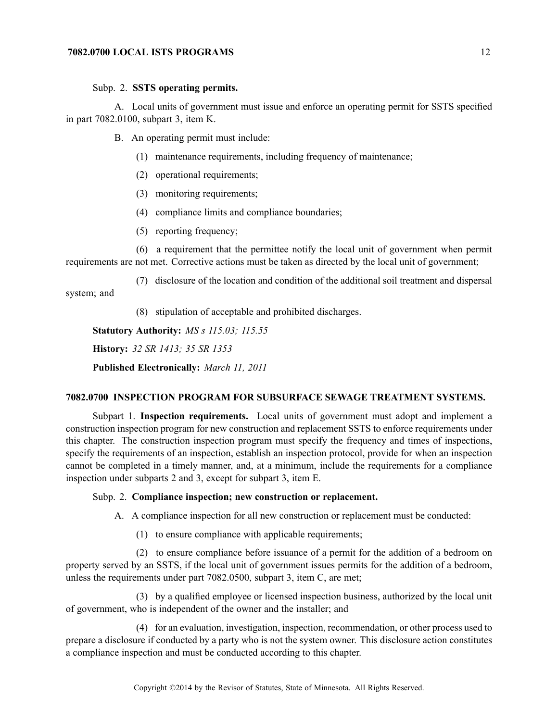#### Subp. 2. **SSTS operating permits.**

A. Local units of governmen<sup>t</sup> must issue and enforce an operating permit for SSTS specified in par<sup>t</sup> 7082.0100, subpart 3, item K.

B. An operating permit must include:

- (1) maintenance requirements, including frequency of maintenance;
- (2) operational requirements;
- (3) monitoring requirements;
- (4) compliance limits and compliance boundaries;
- (5) reporting frequency;

(6) <sup>a</sup> requirement that the permittee notify the local unit of governmen<sup>t</sup> when permit requirements are not met. Corrective actions must be taken as directed by the local unit of government;

(7) disclosure of the location and condition of the additional soil treatment and dispersal system; and

(8) stipulation of acceptable and prohibited discharges.

**Statutory Authority:** *MS <sup>s</sup> 115.03; 115.55*

**History:** *32 SR 1413; 35 SR 1353*

**Published Electronically:** *March 11, 2011*

## **7082.0700 INSPECTION PROGRAM FOR SUBSURFACE SEWAGE TREATMENT SYSTEMS.**

Subpart 1. **Inspection requirements.** Local units of governmen<sup>t</sup> must adopt and implement <sup>a</sup> construction inspection program for new construction and replacement SSTS to enforce requirements under this chapter. The construction inspection program must specify the frequency and times of inspections, specify the requirements of an inspection, establish an inspection protocol, provide for when an inspection cannot be completed in <sup>a</sup> timely manner, and, at <sup>a</sup> minimum, include the requirements for <sup>a</sup> compliance inspection under subparts 2 and 3, excep<sup>t</sup> for subpart 3, item E.

#### Subp. 2. **Compliance inspection; new construction or replacement.**

A. A compliance inspection for all new construction or replacement must be conducted:

(1) to ensure compliance with applicable requirements;

(2) to ensure compliance before issuance of <sup>a</sup> permit for the addition of <sup>a</sup> bedroom on property served by an SSTS, if the local unit of governmen<sup>t</sup> issues permits for the addition of <sup>a</sup> bedroom, unless the requirements under par<sup>t</sup> 7082.0500, subpart 3, item C, are met;

(3) by <sup>a</sup> qualified employee or licensed inspection business, authorized by the local unit of government, who is independent of the owner and the installer; and

(4) for an evaluation, investigation, inspection, recommendation, or other process used to prepare <sup>a</sup> disclosure if conducted by <sup>a</sup> party who is not the system owner. This disclosure action constitutes <sup>a</sup> compliance inspection and must be conducted according to this chapter.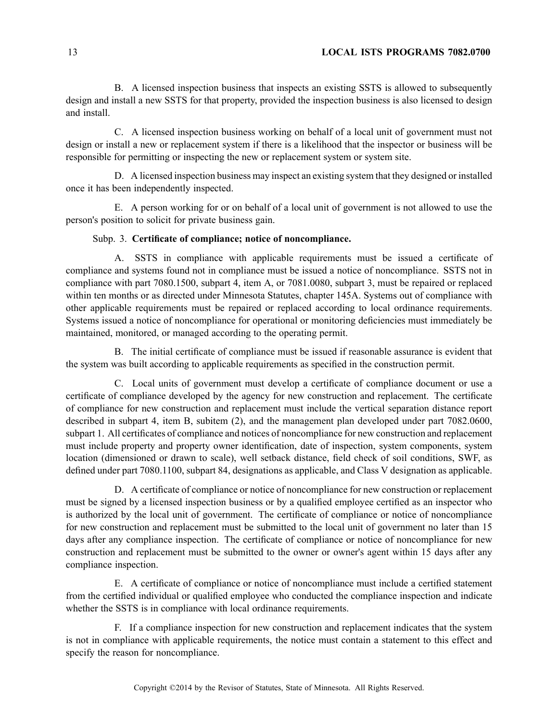B. A licensed inspection business that inspects an existing SSTS is allowed to subsequently design and install <sup>a</sup> new SSTS for that property, provided the inspection business is also licensed to design and install.

C. A licensed inspection business working on behalf of <sup>a</sup> local unit of governmen<sup>t</sup> must not design or install <sup>a</sup> new or replacement system if there is <sup>a</sup> likelihood that the inspector or business will be responsible for permitting or inspecting the new or replacement system or system site.

D. A licensed inspection business may inspect an existing system that they designed or installed once it has been independently inspected.

E. A person working for or on behalf of <sup>a</sup> local unit of governmen<sup>t</sup> is not allowed to use the person's position to solicit for private business gain.

## Subp. 3. **Certificate of compliance; notice of noncompliance.**

A. SSTS in compliance with applicable requirements must be issued <sup>a</sup> certificate of compliance and systems found not in compliance must be issued <sup>a</sup> notice of noncompliance. SSTS not in compliance with par<sup>t</sup> 7080.1500, subpart 4, item A, or 7081.0080, subpart 3, must be repaired or replaced within ten months or as directed under Minnesota Statutes, chapter 145A. Systems out of compliance with other applicable requirements must be repaired or replaced according to local ordinance requirements. Systems issued <sup>a</sup> notice of noncompliance for operational or monitoring deficiencies must immediately be maintained, monitored, or managed according to the operating permit.

B. The initial certificate of compliance must be issued if reasonable assurance is evident that the system was built according to applicable requirements as specified in the construction permit.

C. Local units of governmen<sup>t</sup> must develop <sup>a</sup> certificate of compliance document or use <sup>a</sup> certificate of compliance developed by the agency for new construction and replacement. The certificate of compliance for new construction and replacement must include the vertical separation distance repor<sup>t</sup> described in subpart 4, item B, subitem (2), and the managemen<sup>t</sup> plan developed under par<sup>t</sup> 7082.0600, subpart 1. All certificates of compliance and notices of noncompliance for new construction and replacement must include property and property owner identification, date of inspection, system components, system location (dimensioned or drawn to scale), well setback distance, field check of soil conditions, SWF, as defined under par<sup>t</sup> 7080.1100, subpart 84, designations as applicable, and Class V designation as applicable.

D. A certificate of compliance or notice of noncompliance for new construction or replacement must be signed by <sup>a</sup> licensed inspection business or by <sup>a</sup> qualified employee certified as an inspector who is authorized by the local unit of government. The certificate of compliance or notice of noncompliance for new construction and replacement must be submitted to the local unit of governmen<sup>t</sup> no later than 15 days after any compliance inspection. The certificate of compliance or notice of noncompliance for new construction and replacement must be submitted to the owner or owner's agen<sup>t</sup> within 15 days after any compliance inspection.

E. A certificate of compliance or notice of noncompliance must include <sup>a</sup> certified statement from the certified individual or qualified employee who conducted the compliance inspection and indicate whether the SSTS is in compliance with local ordinance requirements.

F. If <sup>a</sup> compliance inspection for new construction and replacement indicates that the system is not in compliance with applicable requirements, the notice must contain <sup>a</sup> statement to this effect and specify the reason for noncompliance.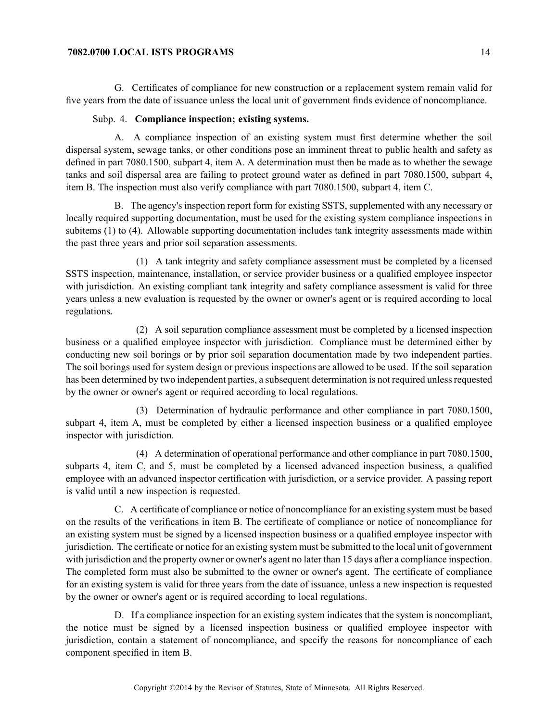G. Certificates of compliance for new construction or <sup>a</sup> replacement system remain valid for five years from the date of issuance unless the local unit of governmen<sup>t</sup> finds evidence of noncompliance.

## Subp. 4. **Compliance inspection; existing systems.**

A. A compliance inspection of an existing system must first determine whether the soil dispersal system, sewage tanks, or other conditions pose an imminent threat to public health and safety as defined in par<sup>t</sup> 7080.1500, subpart 4, item A. A determination must then be made as to whether the sewage tanks and soil dispersal area are failing to protect ground water as defined in par<sup>t</sup> 7080.1500, subpart 4, item B. The inspection must also verify compliance with par<sup>t</sup> 7080.1500, subpart 4, item C.

B. The agency's inspection repor<sup>t</sup> form for existing SSTS, supplemented with any necessary or locally required supporting documentation, must be used for the existing system compliance inspections in subitems (1) to (4). Allowable supporting documentation includes tank integrity assessments made within the pas<sup>t</sup> three years and prior soil separation assessments.

(1) A tank integrity and safety compliance assessment must be completed by <sup>a</sup> licensed SSTS inspection, maintenance, installation, or service provider business or <sup>a</sup> qualified employee inspector with jurisdiction. An existing compliant tank integrity and safety compliance assessment is valid for three years unless <sup>a</sup> new evaluation is requested by the owner or owner's agen<sup>t</sup> or is required according to local regulations.

(2) A soil separation compliance assessment must be completed by <sup>a</sup> licensed inspection business or <sup>a</sup> qualified employee inspector with jurisdiction. Compliance must be determined either by conducting new soil borings or by prior soil separation documentation made by two independent parties. The soil borings used for system design or previous inspections are allowed to be used. If the soil separation has been determined by two independent parties, a subsequent determination is not required unless requested by the owner or owner's agen<sup>t</sup> or required according to local regulations.

(3) Determination of hydraulic performance and other compliance in par<sup>t</sup> 7080.1500, subpart 4, item A, must be completed by either <sup>a</sup> licensed inspection business or <sup>a</sup> qualified employee inspector with jurisdiction.

(4) A determination of operational performance and other compliance in par<sup>t</sup> 7080.1500, subparts 4, item C, and 5, must be completed by <sup>a</sup> licensed advanced inspection business, <sup>a</sup> qualified employee with an advanced inspector certification with jurisdiction, or <sup>a</sup> service provider. A passing repor<sup>t</sup> is valid until <sup>a</sup> new inspection is requested.

C. A certificate of compliance or notice of noncompliance for an existing system must be based on the results of the verifications in item B. The certificate of compliance or notice of noncompliance for an existing system must be signed by <sup>a</sup> licensed inspection business or <sup>a</sup> qualified employee inspector with jurisdiction. The certificate or notice for an existing system must be submitted to the local unit of governmen<sup>t</sup> with jurisdiction and the property owner or owner's agent no later than 15 days after a compliance inspection. The completed form must also be submitted to the owner or owner's agent. The certificate of compliance for an existing system is valid for three years from the date of issuance, unless <sup>a</sup> new inspection is requested by the owner or owner's agen<sup>t</sup> or is required according to local regulations.

D. If <sup>a</sup> compliance inspection for an existing system indicates that the system is noncompliant, the notice must be signed by <sup>a</sup> licensed inspection business or qualified employee inspector with jurisdiction, contain <sup>a</sup> statement of noncompliance, and specify the reasons for noncompliance of each componen<sup>t</sup> specified in item B.